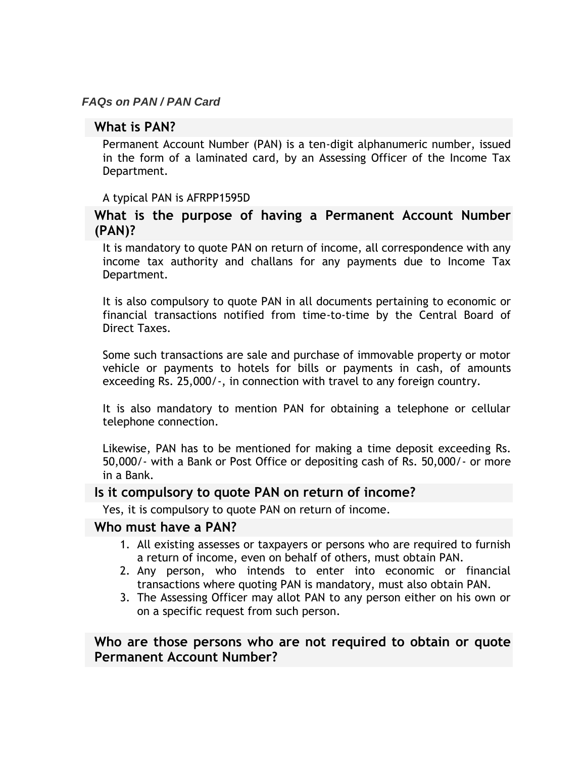#### *FAQs on PAN / PAN Card*

### **What is PAN?**

Permanent Account Number (PAN) is a ten-digit alphanumeric number, issued in the form of a laminated card, by an Assessing Officer of the Income Tax Department.

#### A typical PAN is AFRPP1595D

# **What is the purpose of having a Permanent Account Number (PAN)?**

It is mandatory to quote PAN on return of income, all correspondence with any income tax authority and challans for any payments due to Income Tax Department.

It is also compulsory to quote PAN in all documents pertaining to economic or financial transactions notified from time-to-time by the Central Board of Direct Taxes.

Some such transactions are sale and purchase of immovable property or motor vehicle or payments to hotels for bills or payments in cash, of amounts exceeding Rs. 25,000/-, in connection with travel to any foreign country.

It is also mandatory to mention PAN for obtaining a telephone or cellular telephone connection.

Likewise, PAN has to be mentioned for making a time deposit exceeding Rs. 50,000/- with a Bank or Post Office or depositing cash of Rs. 50,000/- or more in a Bank.

#### **Is it compulsory to quote PAN on return of income?**

Yes, it is compulsory to quote PAN on return of income.

#### **Who must have a PAN?**

- 1. All existing assesses or taxpayers or persons who are required to furnish a return of income, even on behalf of others, must obtain PAN.
- 2. Any person, who intends to enter into economic or financial transactions where quoting PAN is mandatory, must also obtain PAN.
- 3. The Assessing Officer may allot PAN to any person either on his own or on a specific request from such person.

# **Who are those persons who are not required to obtain or quote Permanent Account Number?**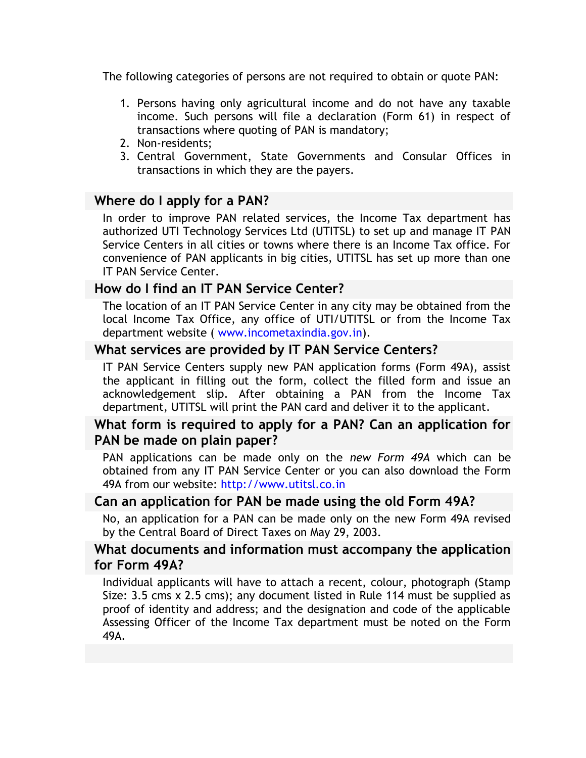The following categories of persons are not required to obtain or quote PAN:

- 1. Persons having only agricultural income and do not have any taxable income. Such persons will file a declaration (Form 61) in respect of transactions where quoting of PAN is mandatory;
- 2. Non-residents;
- 3. Central Government, State Governments and Consular Offices in transactions in which they are the payers.

# **Where do I apply for a PAN?**

In order to improve PAN related services, the Income Tax department has authorized UTI Technology Services Ltd (UTITSL) to set up and manage IT PAN Service Centers in all cities or towns where there is an Income Tax office. For convenience of PAN applicants in big cities, UTITSL has set up more than one IT PAN Service Center.

# **How do I find an IT PAN Service Center?**

The location of an IT PAN Service Center in any city may be obtained from the local Income Tax Office, any office of UTI/UTITSL or from the Income Tax department website ( [www.incometaxindia.gov.in\)](http://www.incometaxindia.gov.in/).

# **What services are provided by IT PAN Service Centers?**

IT PAN Service Centers supply new PAN application forms (Form 49A), assist the applicant in filling out the form, collect the filled form and issue an acknowledgement slip. After obtaining a PAN from the Income Tax department, UTITSL will print the PAN card and deliver it to the applicant.

# **What form is required to apply for a PAN? Can an application for PAN be made on plain paper?**

PAN applications can be made only on the *new Form 49A* which can be obtained from any IT PAN Service Center or you can also download the Form 49A from our website: [http://www.utitsl.co.in](http://www.utitsl.co.in/) 

# **Can an application for PAN be made using the old Form 49A?**

No, an application for a PAN can be made only on the new Form 49A revised by the Central Board of Direct Taxes on May 29, 2003.

# **What documents and information must accompany the application for Form 49A?**

Individual applicants will have to attach a recent, colour, photograph (Stamp Size: 3.5 cms x 2.5 cms); any document listed in Rule 114 must be supplied as proof of identity and address; and the designation and code of the applicable Assessing Officer of the Income Tax department must be noted on the Form 49A.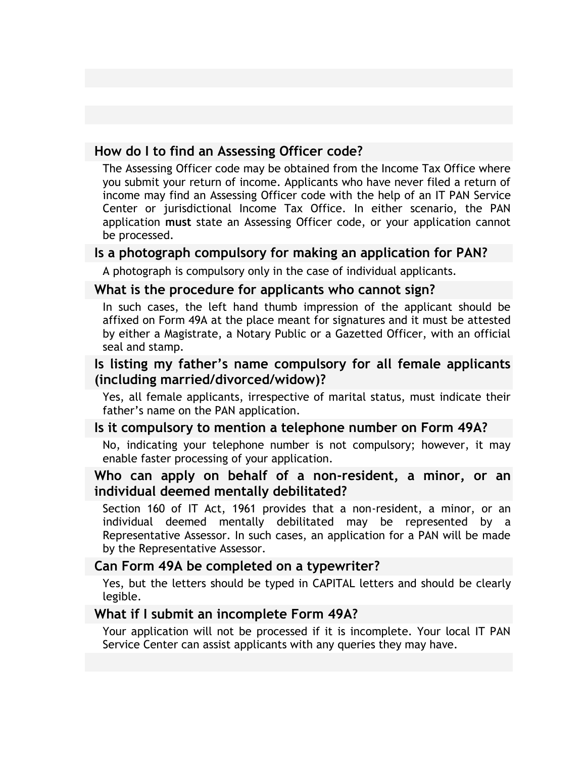# **How do I to find an Assessing Officer code?**

The Assessing Officer code may be obtained from the Income Tax Office where you submit your return of income. Applicants who have never filed a return of income may find an Assessing Officer code with the help of an IT PAN Service Center or jurisdictional Income Tax Office. In either scenario, the PAN application **must** state an Assessing Officer code, or your application cannot be processed.

#### **Is a photograph compulsory for making an application for PAN?**

A photograph is compulsory only in the case of individual applicants.

#### **What is the procedure for applicants who cannot sign?**

In such cases, the left hand thumb impression of the applicant should be affixed on Form 49A at the place meant for signatures and it must be attested by either a Magistrate, a Notary Public or a Gazetted Officer, with an official seal and stamp.

### **Is listing my father's name compulsory for all female applicants (including married/divorced/widow)?**

Yes, all female applicants, irrespective of marital status, must indicate their father's name on the PAN application.

#### **Is it compulsory to mention a telephone number on Form 49A?**

No, indicating your telephone number is not compulsory; however, it may enable faster processing of your application.

### **Who can apply on behalf of a non-resident, a minor, or an individual deemed mentally debilitated?**

Section 160 of IT Act, 1961 provides that a non-resident, a minor, or an individual deemed mentally debilitated may be represented by a Representative Assessor. In such cases, an application for a PAN will be made by the Representative Assessor.

#### **Can Form 49A be completed on a typewriter?**

Yes, but the letters should be typed in CAPITAL letters and should be clearly legible.

#### **What if I submit an incomplete Form 49A?**

Your application will not be processed if it is incomplete. Your local IT PAN Service Center can assist applicants with any queries they may have.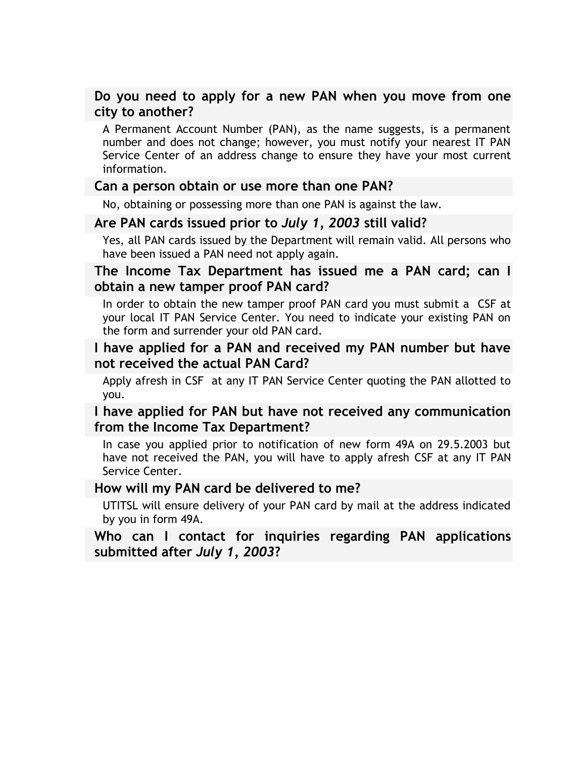# **Do you need to apply for a new PAN when you move from one city to another?**

A Permanent Account Number (PAN), as the name suggests, is a permanent number and does not change; however, you must notify your nearest IT PAN Service Center of an address change to ensure they have your most current information.

#### **Can a person obtain or use more than one PAN?**

No, obtaining or possessing more than one PAN is against the law.

### **Are PAN cards issued prior to** *July 1, 2003* **still valid?**

Yes, all PAN cards issued by the Department will remain valid. All persons who have been issued a PAN need not apply again.

### **The Income Tax Department has issued me a PAN card; can I obtain a new tamper proof PAN card?**

In order to obtain the new tamper proof PAN card you must submit a CSF at your local IT PAN Service Center. You need to indicate your existing PAN on the form and surrender your old PAN card.

### **I have applied for a PAN and received my PAN number but have not received the actual PAN Card?**

Apply afresh in CSF at any IT PAN Service Center quoting the PAN allotted to you.

# **I have applied for PAN but have not received any communication from the Income Tax Department?**

In case you applied prior to notification of new form 49A on 29.5.2003 but have not received the PAN, you will have to apply afresh CSF at any IT PAN Service Center.

#### **How will my PAN card be delivered to me?**

UTITSL will ensure delivery of your PAN card by mail at the address indicated by you in form 49A.

### **Who can I contact for inquiries regarding PAN applications submitted after** *July 1, 2003***?**